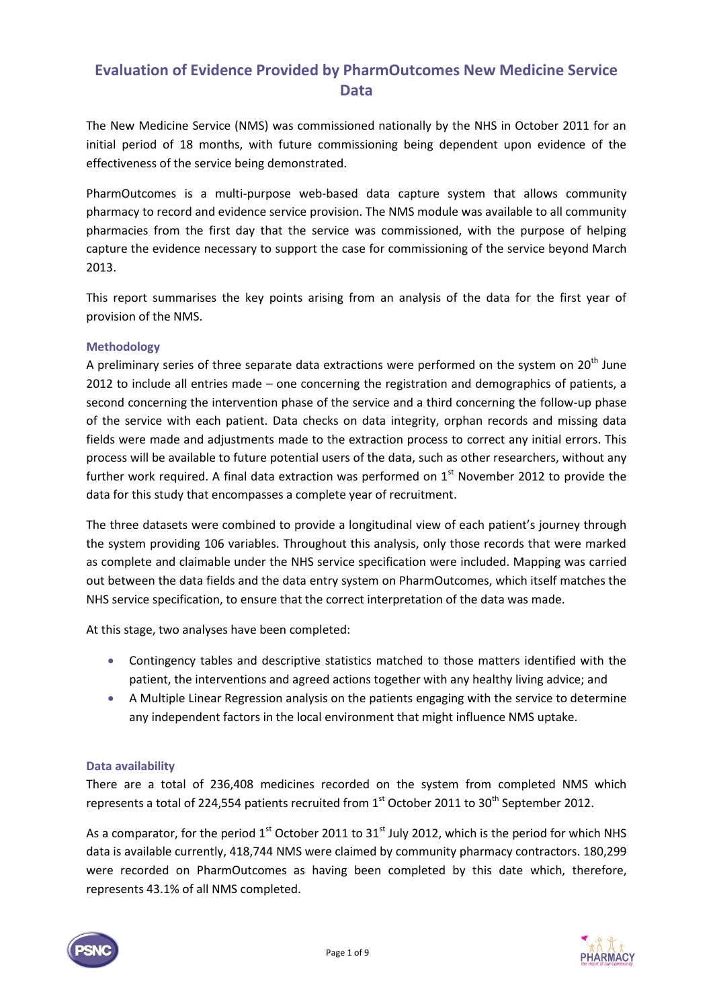# **Evaluation of Evidence Provided by PharmOutcomes New Medicine Service Data**

The New Medicine Service (NMS) was commissioned nationally by the NHS in October 2011 for an initial period of 18 months, with future commissioning being dependent upon evidence of the effectiveness of the service being demonstrated.

PharmOutcomes is a multi-purpose web-based data capture system that allows community pharmacy to record and evidence service provision. The NMS module was available to all community pharmacies from the first day that the service was commissioned, with the purpose of helping capture the evidence necessary to support the case for commissioning of the service beyond March 2013.

This report summarises the key points arising from an analysis of the data for the first year of provision of the NMS.

### **Methodology**

A preliminary series of three separate data extractions were performed on the system on  $20<sup>th</sup>$  June 2012 to include all entries made – one concerning the registration and demographics of patients, a second concerning the intervention phase of the service and a third concerning the follow-up phase of the service with each patient. Data checks on data integrity, orphan records and missing data fields were made and adjustments made to the extraction process to correct any initial errors. This process will be available to future potential users of the data, such as other researchers, without any further work required. A final data extraction was performed on  $1<sup>st</sup>$  November 2012 to provide the data for this study that encompasses a complete year of recruitment.

The three datasets were combined to provide a longitudinal view of each patient's journey through the system providing 106 variables. Throughout this analysis, only those records that were marked as complete and claimable under the NHS service specification were included. Mapping was carried out between the data fields and the data entry system on PharmOutcomes, which itself matches the NHS service specification, to ensure that the correct interpretation of the data was made.

At this stage, two analyses have been completed:

- Contingency tables and descriptive statistics matched to those matters identified with the patient, the interventions and agreed actions together with any healthy living advice; and
- A Multiple Linear Regression analysis on the patients engaging with the service to determine any independent factors in the local environment that might influence NMS uptake.

### **Data availability**

There are a total of 236,408 medicines recorded on the system from completed NMS which represents a total of 224,554 patients recruited from  $1<sup>st</sup>$  October 2011 to 30<sup>th</sup> September 2012.

As a comparator, for the period  $1<sup>st</sup>$  October 2011 to  $31<sup>st</sup>$  July 2012, which is the period for which NHS data is available currently, 418,744 NMS were claimed by community pharmacy contractors. 180,299 were recorded on PharmOutcomes as having been completed by this date which, therefore, represents 43.1% of all NMS completed.



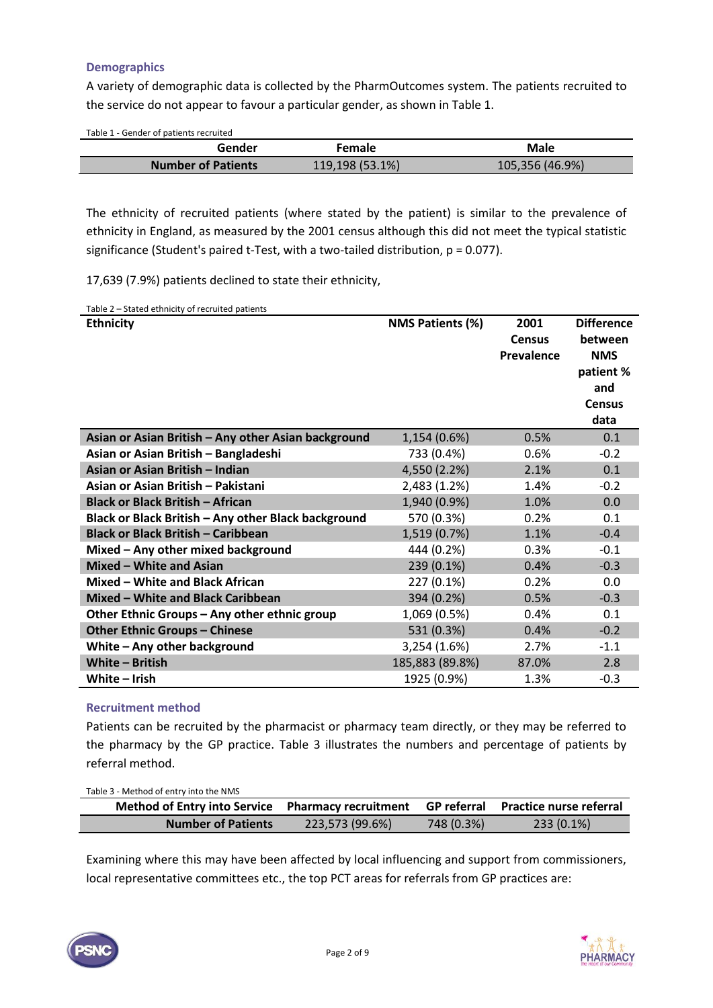### **Demographics**

A variety of demographic data is collected by the PharmOutcomes system. The patients recruited to the service do not appear to favour a particular gender, as shown in Table 1.

Table 1 - Gender of patients recruited

| Gender                    | Female          | Male            |
|---------------------------|-----------------|-----------------|
| <b>Number of Patients</b> | 119,198 (53.1%) | 105,356 (46.9%) |

The ethnicity of recruited patients (where stated by the patient) is similar to the prevalence of ethnicity in England, as measured by the 2001 census although this did not meet the typical statistic significance (Student's paired t-Test, with a two-tailed distribution, p = 0.077).

17,639 (7.9%) patients declined to state their ethnicity,

Table 2 – Stated ethnicity of recruited patients

| <b>Ethnicity</b>                                    | <b>NMS Patients (%)</b> | 2001<br><b>Census</b><br>Prevalence | <b>Difference</b><br>between<br><b>NMS</b><br>patient %<br>and<br><b>Census</b><br>data |
|-----------------------------------------------------|-------------------------|-------------------------------------|-----------------------------------------------------------------------------------------|
| Asian or Asian British - Any other Asian background | 1,154 (0.6%)            | 0.5%                                | 0.1                                                                                     |
| Asian or Asian British - Bangladeshi                | 733 (0.4%)              | 0.6%                                | $-0.2$                                                                                  |
| Asian or Asian British - Indian                     | 4,550 (2.2%)            | 2.1%                                | 0.1                                                                                     |
| Asian or Asian British - Pakistani                  | 2,483 (1.2%)            | 1.4%                                | $-0.2$                                                                                  |
| <b>Black or Black British - African</b>             | 1,940 (0.9%)            | 1.0%                                | 0.0                                                                                     |
| Black or Black British - Any other Black background | 570 (0.3%)              | 0.2%                                | 0.1                                                                                     |
| <b>Black or Black British - Caribbean</b>           | 1,519 (0.7%)            | 1.1%                                | $-0.4$                                                                                  |
| Mixed - Any other mixed background                  | 444 (0.2%)              | 0.3%                                | $-0.1$                                                                                  |
| Mixed - White and Asian                             | 239 (0.1%)              | 0.4%                                | $-0.3$                                                                                  |
| Mixed - White and Black African                     | 227 (0.1%)              | 0.2%                                | 0.0                                                                                     |
| Mixed - White and Black Caribbean                   | 394 (0.2%)              | 0.5%                                | $-0.3$                                                                                  |
| Other Ethnic Groups - Any other ethnic group        | 1,069 (0.5%)            | 0.4%                                | 0.1                                                                                     |
| <b>Other Ethnic Groups - Chinese</b>                | 531 (0.3%)              | 0.4%                                | $-0.2$                                                                                  |
| White - Any other background                        | 3,254 (1.6%)            | 2.7%                                | $-1.1$                                                                                  |
| White - British                                     | 185,883 (89.8%)         | 87.0%                               | 2.8                                                                                     |
| White - Irish                                       | 1925 (0.9%)             | 1.3%                                | $-0.3$                                                                                  |

### **Recruitment method**

Patients can be recruited by the pharmacist or pharmacy team directly, or they may be referred to the pharmacy by the GP practice. Table 3 illustrates the numbers and percentage of patients by referral method.

Table 3 - Method of entry into the NMS

| Method of Entry into Service Pharmacy recruitment GP referral Practice nurse referral |                 |            |            |
|---------------------------------------------------------------------------------------|-----------------|------------|------------|
| <b>Number of Patients</b>                                                             | 223,573 (99.6%) | 748 (0.3%) | 233 (0.1%) |

Examining where this may have been affected by local influencing and support from commissioners, local representative committees etc., the top PCT areas for referrals from GP practices are:



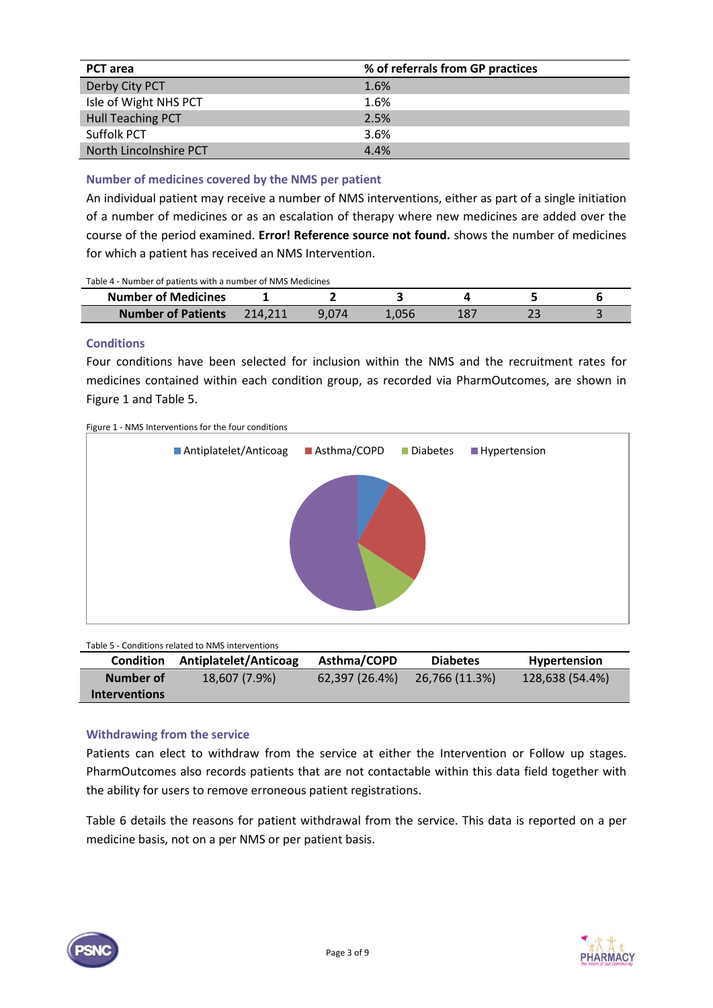| <b>PCT</b> area          | % of referrals from GP practices |
|--------------------------|----------------------------------|
| Derby City PCT           | 1.6%                             |
| Isle of Wight NHS PCT    | 1.6%                             |
| <b>Hull Teaching PCT</b> | 2.5%                             |
| Suffolk PCT              | 3.6%                             |
| North Lincolnshire PCT   | 4.4%                             |

### **Number of medicines covered by the NMS per patient**

An individual patient may receive a number of NMS interventions, either as part of a single initiation of a number of medicines or as an escalation of therapy where new medicines are added over the course of the period examined. **Error! Reference source not found.** shows the number of medicines for which a patient has received an NMS Intervention.

Table 4 - Number of patients with a number of NMS Medicines

| <b>Number of Medicines</b> |         |       |  |  |
|----------------------------|---------|-------|--|--|
| <b>Number of Patients</b>  | 214.211 | 9,074 |  |  |

### **Conditions**

Four conditions have been selected for inclusion within the NMS and the recruitment rates for medicines contained within each condition group, as recorded via PharmOutcomes, are shown in Figure 1 and Table 5.



<span id="page-2-0"></span>Table 5 - Conditions related to NMS interventions

| <b>Condition</b>     | Antiplatelet/Anticoag | Asthma/COPD    | <b>Diabetes</b> | <b>Hypertension</b> |
|----------------------|-----------------------|----------------|-----------------|---------------------|
| Number of            | 18,607 (7.9%)         | 62,397 (26.4%) | 26,766 (11.3%)  | 128,638 (54.4%)     |
| <b>Interventions</b> |                       |                |                 |                     |

### **Withdrawing from the service**

Patients can elect to withdraw from the service at either the Intervention or Follow up stages. PharmOutcomes also records patients that are not contactable within this data field together with the ability for users to remove erroneous patient registrations.

Table 6 details the reasons for patient withdrawal from the service. This data is reported on a per medicine basis, not on a per NMS or per patient basis.



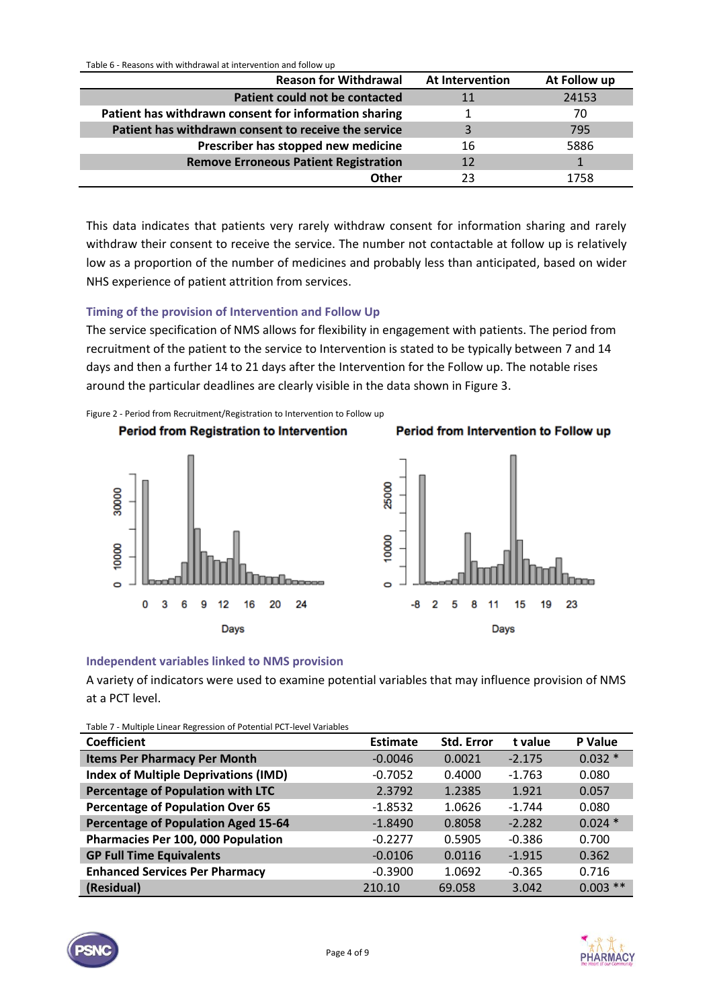Table 6 - Reasons with withdrawal at intervention and follow up

| <b>Reason for Withdrawal</b>                          | At Intervention | At Follow up |
|-------------------------------------------------------|-----------------|--------------|
| Patient could not be contacted                        | 11              | 24153        |
| Patient has withdrawn consent for information sharing |                 | 70           |
| Patient has withdrawn consent to receive the service  | 3               | 795          |
| Prescriber has stopped new medicine                   | 16              | 5886         |
| <b>Remove Erroneous Patient Registration</b>          | 12              |              |
| Other                                                 | 23              | 1758         |

This data indicates that patients very rarely withdraw consent for information sharing and rarely withdraw their consent to receive the service. The number not contactable at follow up is relatively low as a proportion of the number of medicines and probably less than anticipated, based on wider NHS experience of patient attrition from services.

# **Timing of the provision of Intervention and Follow Up**

The service specification of NMS allows for flexibility in engagement with patients. The period from recruitment of the patient to the service to Intervention is stated to be typically between 7 and 14 days and then a further 14 to 21 days after the Intervention for the Follow up. The notable rises around the particular deadlines are clearly visible in the data shown in Figure 3.

Figure 2 - Period from Recruitment/Registration to Intervention to Follow up





Period from Intervention to Follow up

# **Independent variables linked to NMS provision**

A variety of indicators were used to examine potential variables that may influence provision of NMS at a PCT level.

Table 7 - Multiple Linear Regression of Potential PCT-level Variables

| <b>Coefficient</b>                          | <b>Estimate</b> | <b>Std. Error</b> | t value  | P Value    |
|---------------------------------------------|-----------------|-------------------|----------|------------|
| <b>Items Per Pharmacy Per Month</b>         | $-0.0046$       | 0.0021            | $-2.175$ | $0.032*$   |
| <b>Index of Multiple Deprivations (IMD)</b> | $-0.7052$       | 0.4000            | $-1.763$ | 0.080      |
| <b>Percentage of Population with LTC</b>    | 2.3792          | 1.2385            | 1.921    | 0.057      |
| <b>Percentage of Population Over 65</b>     | $-1.8532$       | 1.0626            | $-1.744$ | 0.080      |
| Percentage of Population Aged 15-64         | $-1.8490$       | 0.8058            | $-2.282$ | $0.024*$   |
| Pharmacies Per 100, 000 Population          | $-0.2277$       | 0.5905            | $-0.386$ | 0.700      |
| <b>GP Full Time Equivalents</b>             | $-0.0106$       | 0.0116            | $-1.915$ | 0.362      |
| <b>Enhanced Services Per Pharmacy</b>       | $-0.3900$       | 1.0692            | $-0.365$ | 0.716      |
| (Residual)                                  | 210.10          | 69.058            | 3.042    | $0.003$ ** |



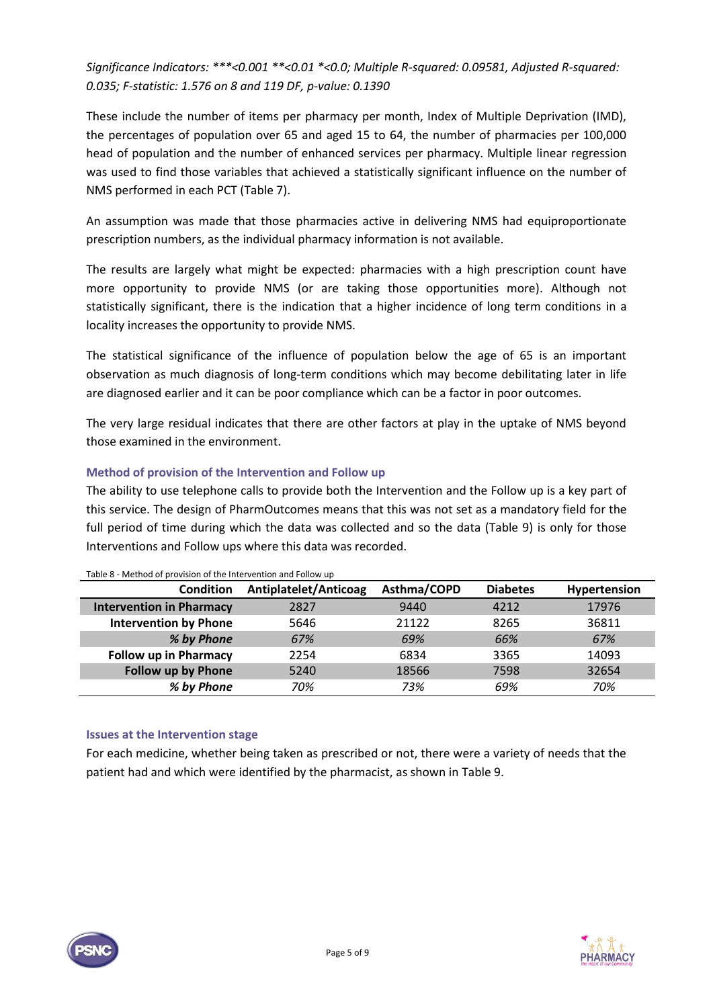*Significance Indicators: \*\*\*<0.001 \*\*<0.01 \*<0.0; Multiple R-squared: 0.09581, Adjusted R-squared: 0.035; F-statistic: 1.576 on 8 and 119 DF, p-value: 0.1390*

These include the number of items per pharmacy per month, Index of Multiple Deprivation (IMD), the percentages of population over 65 and aged 15 to 64, the number of pharmacies per 100,000 head of population and the number of enhanced services per pharmacy. Multiple linear regression was used to find those variables that achieved a statistically significant influence on the number of NMS performed in each PCT (Table 7).

An assumption was made that those pharmacies active in delivering NMS had equiproportionate prescription numbers, as the individual pharmacy information is not available.

The results are largely what might be expected: pharmacies with a high prescription count have more opportunity to provide NMS (or are taking those opportunities more). Although not statistically significant, there is the indication that a higher incidence of long term conditions in a locality increases the opportunity to provide NMS.

The statistical significance of the influence of population below the age of 65 is an important observation as much diagnosis of long-term conditions which may become debilitating later in life are diagnosed earlier and it can be poor compliance which can be a factor in poor outcomes.

The very large residual indicates that there are other factors at play in the uptake of NMS beyond those examined in the environment.

# **Method of provision of the Intervention and Follow up**

The ability to use telephone calls to provide both the Intervention and the Follow up is a key part of this service. The design of PharmOutcomes means that this was not set as a mandatory field for the full period of time during which the data was collected and so the data (Table 9) is only for those Interventions and Follow ups where this data was recorded.

| <b>Condition</b>                | Antiplatelet/Anticoag | Asthma/COPD | <b>Diabetes</b> | Hypertension |
|---------------------------------|-----------------------|-------------|-----------------|--------------|
| <b>Intervention in Pharmacy</b> | 2827                  | 9440        | 4212            | 17976        |
| <b>Intervention by Phone</b>    | 5646                  | 21122       | 8265            | 36811        |
| % by Phone                      | 67%                   | 69%         | 66%             | 67%          |
| <b>Follow up in Pharmacy</b>    | 2254                  | 6834        | 3365            | 14093        |
| <b>Follow up by Phone</b>       | 5240                  | 18566       | 7598            | 32654        |
| % by Phone                      | 70%                   | 73%         | 69%             | 70%          |

#### Table 8 - Method of provision of the Intervention and Follow up

### **Issues at the Intervention stage**

For each medicine, whether being taken as prescribed or not, there were a variety of needs that the patient had and which were identified by the pharmacist, as shown in Table 9.



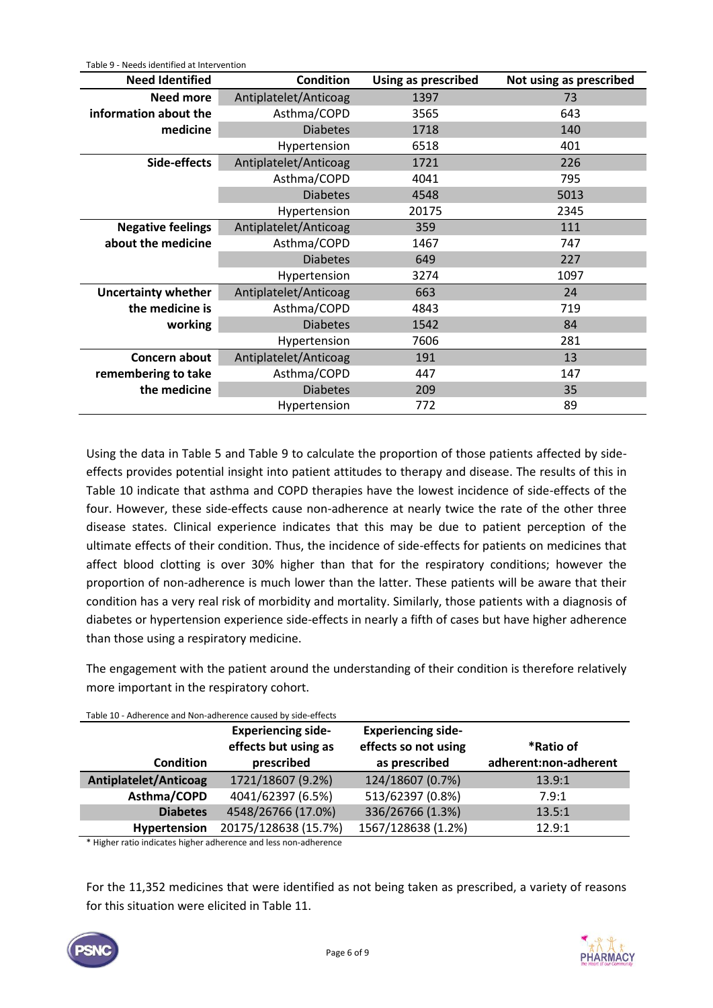| Table 9 - Needs identified at Intervention |                       |                            |                         |  |
|--------------------------------------------|-----------------------|----------------------------|-------------------------|--|
| <b>Need Identified</b>                     | <b>Condition</b>      | <b>Using as prescribed</b> | Not using as prescribed |  |
| <b>Need more</b>                           | Antiplatelet/Anticoag | 1397                       | 73                      |  |
| information about the                      | Asthma/COPD           | 3565                       | 643                     |  |
| medicine                                   | <b>Diabetes</b>       | 1718                       | 140                     |  |
|                                            | Hypertension          | 6518                       | 401                     |  |
| Side-effects                               | Antiplatelet/Anticoag | 1721                       | 226                     |  |
|                                            | Asthma/COPD           | 4041                       | 795                     |  |
|                                            | <b>Diabetes</b>       | 4548                       | 5013                    |  |
|                                            | Hypertension          | 20175                      | 2345                    |  |
| <b>Negative feelings</b>                   | Antiplatelet/Anticoag | 359                        | 111                     |  |
| about the medicine                         | Asthma/COPD           | 1467                       | 747                     |  |
|                                            | <b>Diabetes</b>       | 649                        | 227                     |  |
|                                            | Hypertension          | 3274                       | 1097                    |  |
| <b>Uncertainty whether</b>                 | Antiplatelet/Anticoag | 663                        | 24                      |  |
| the medicine is                            | Asthma/COPD           | 4843                       | 719                     |  |
| working                                    | <b>Diabetes</b>       | 1542                       | 84                      |  |
|                                            | Hypertension          | 7606                       | 281                     |  |
| Concern about                              | Antiplatelet/Anticoag | 191                        | 13                      |  |
| remembering to take                        | Asthma/COPD           | 447                        | 147                     |  |
| the medicine                               | <b>Diabetes</b>       | 209                        | 35                      |  |
|                                            | Hypertension          | 772                        | 89                      |  |

Using the data in [Table 5](#page-2-0) and Table 9 to calculate the proportion of those patients affected by sideeffects provides potential insight into patient attitudes to therapy and disease. The results of this in [Table 10](#page-5-0) indicate that asthma and COPD therapies have the lowest incidence of side-effects of the four. However, these side-effects cause non-adherence at nearly twice the rate of the other three disease states. Clinical experience indicates that this may be due to patient perception of the ultimate effects of their condition. Thus, the incidence of side-effects for patients on medicines that affect blood clotting is over 30% higher than that for the respiratory conditions; however the proportion of non-adherence is much lower than the latter. These patients will be aware that their condition has a very real risk of morbidity and mortality. Similarly, those patients with a diagnosis of diabetes or hypertension experience side-effects in nearly a fifth of cases but have higher adherence than those using a respiratory medicine.

The engagement with the patient around the understanding of their condition is therefore relatively more important in the respiratory cohort.

| Table 10 - Adriefence and Non-adriefence caused by side-effects |                                                   |                                                   |                       |  |
|-----------------------------------------------------------------|---------------------------------------------------|---------------------------------------------------|-----------------------|--|
|                                                                 | <b>Experiencing side-</b><br>effects but using as | <b>Experiencing side-</b><br>effects so not using | *Ratio of             |  |
| <b>Condition</b>                                                | prescribed                                        | as prescribed                                     | adherent:non-adherent |  |
| <b>Antiplatelet/Anticoag</b>                                    | 1721/18607 (9.2%)                                 | 124/18607 (0.7%)                                  | 13.9:1                |  |
| Asthma/COPD                                                     | 4041/62397 (6.5%)                                 | 513/62397 (0.8%)                                  | 7.9:1                 |  |
| <b>Diabetes</b>                                                 | 4548/26766 (17.0%)                                | 336/26766 (1.3%)                                  | 13.5:1                |  |
| Hypertension                                                    | 20175/128638 (15.7%)                              | 1567/128638 (1.2%)                                | 12.9:1                |  |

<span id="page-5-0"></span>Table 10 - Adherence and Non-adherence caused by side-effects

\* Higher ratio indicates higher adherence and less non-adherence

For the 11,352 medicines that were identified as not being taken as prescribed, a variety of reasons for this situation were elicited in Table 11.



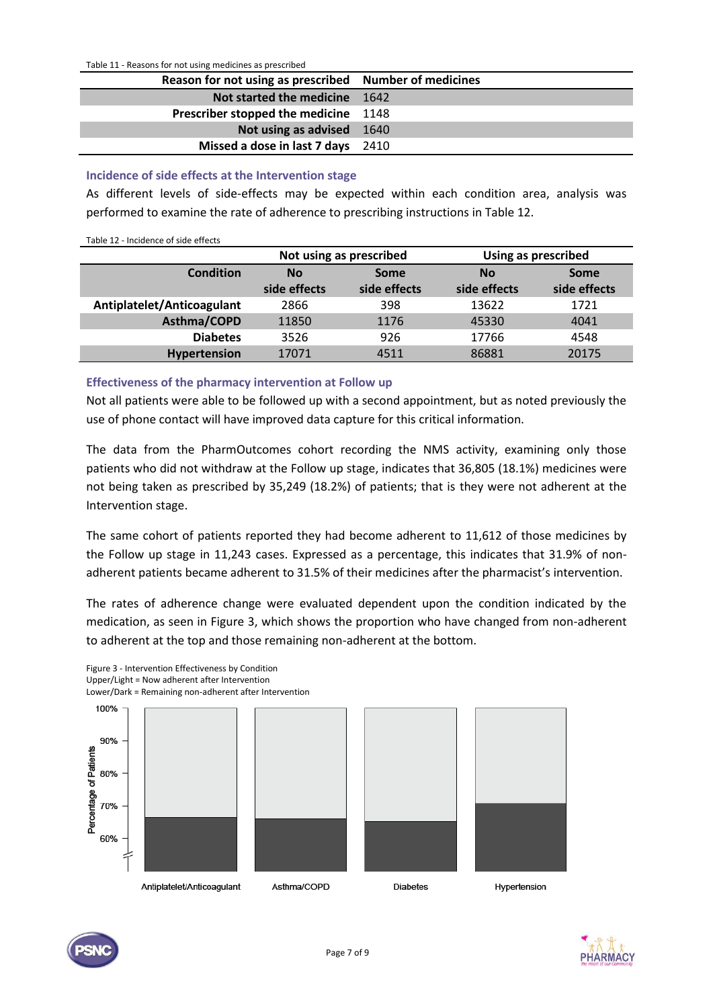Table 11 - Reasons for not using medicines as prescribed

| Reason for not using as prescribed Number of medicines |  |
|--------------------------------------------------------|--|
| Not started the medicine 1642                          |  |
| Prescriber stopped the medicine 1148                   |  |
| Not using as advised 1640                              |  |
| Missed a dose in last 7 days 2410                      |  |

**Incidence of side effects at the Intervention stage**

As different levels of side-effects may be expected within each condition area, analysis was performed to examine the rate of adherence to prescribing instructions in Table 12.

| Table 12 - Incidence of side effects |                         |              |                     |              |  |  |
|--------------------------------------|-------------------------|--------------|---------------------|--------------|--|--|
|                                      | Not using as prescribed |              | Using as prescribed |              |  |  |
| <b>Condition</b>                     | <b>No</b>               | Some         | <b>No</b>           | Some         |  |  |
|                                      | side effects            | side effects | side effects        | side effects |  |  |
| Antiplatelet/Anticoagulant           | 2866                    | 398          | 13622               | 1721         |  |  |
| Asthma/COPD                          | 11850                   | 1176         | 45330               | 4041         |  |  |
| <b>Diabetes</b>                      | 3526                    | 926          | 17766               | 4548         |  |  |
| <b>Hypertension</b>                  | 17071                   | 4511         | 86881               | 20175        |  |  |

### **Effectiveness of the pharmacy intervention at Follow up**

Not all patients were able to be followed up with a second appointment, but as noted previously the use of phone contact will have improved data capture for this critical information.

The data from the PharmOutcomes cohort recording the NMS activity, examining only those patients who did not withdraw at the Follow up stage, indicates that 36,805 (18.1%) medicines were not being taken as prescribed by 35,249 (18.2%) of patients; that is they were not adherent at the Intervention stage.

The same cohort of patients reported they had become adherent to 11,612 of those medicines by the Follow up stage in 11,243 cases. Expressed as a percentage, this indicates that 31.9% of nonadherent patients became adherent to 31.5% of their medicines after the pharmacist's intervention.

The rates of adherence change were evaluated dependent upon the condition indicated by the medication, as seen in Figure 3, which shows the proportion who have changed from non-adherent to adherent at the top and those remaining non-adherent at the bottom.





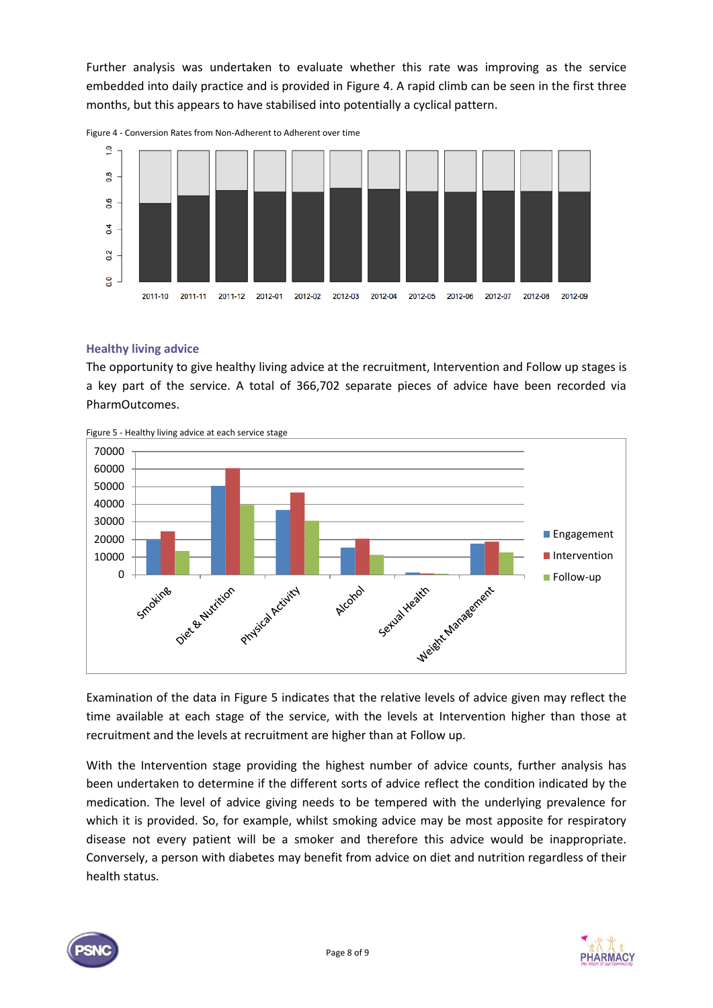Further analysis was undertaken to evaluate whether this rate was improving as the service embedded into daily practice and is provided in Figure 4. A rapid climb can be seen in the first three months, but this appears to have stabilised into potentially a cyclical pattern.



Figure 4 - Conversion Rates from Non-Adherent to Adherent over time

#### **Healthy living advice**

The opportunity to give healthy living advice at the recruitment, Intervention and Follow up stages is a key part of the service. A total of 366,702 separate pieces of advice have been recorded via **PharmOutcomes** 



Figure 5 - Healthy living advice at each service stage

Examination of the data in Figure 5 indicates that the relative levels of advice given may reflect the time available at each stage of the service, with the levels at Intervention higher than those at recruitment and the levels at recruitment are higher than at Follow up.

With the Intervention stage providing the highest number of advice counts, further analysis has been undertaken to determine if the different sorts of advice reflect the condition indicated by the medication. The level of advice giving needs to be tempered with the underlying prevalence for which it is provided. So, for example, whilst smoking advice may be most apposite for respiratory disease not every patient will be a smoker and therefore this advice would be inappropriate. Conversely, a person with diabetes may benefit from advice on diet and nutrition regardless of their health status.